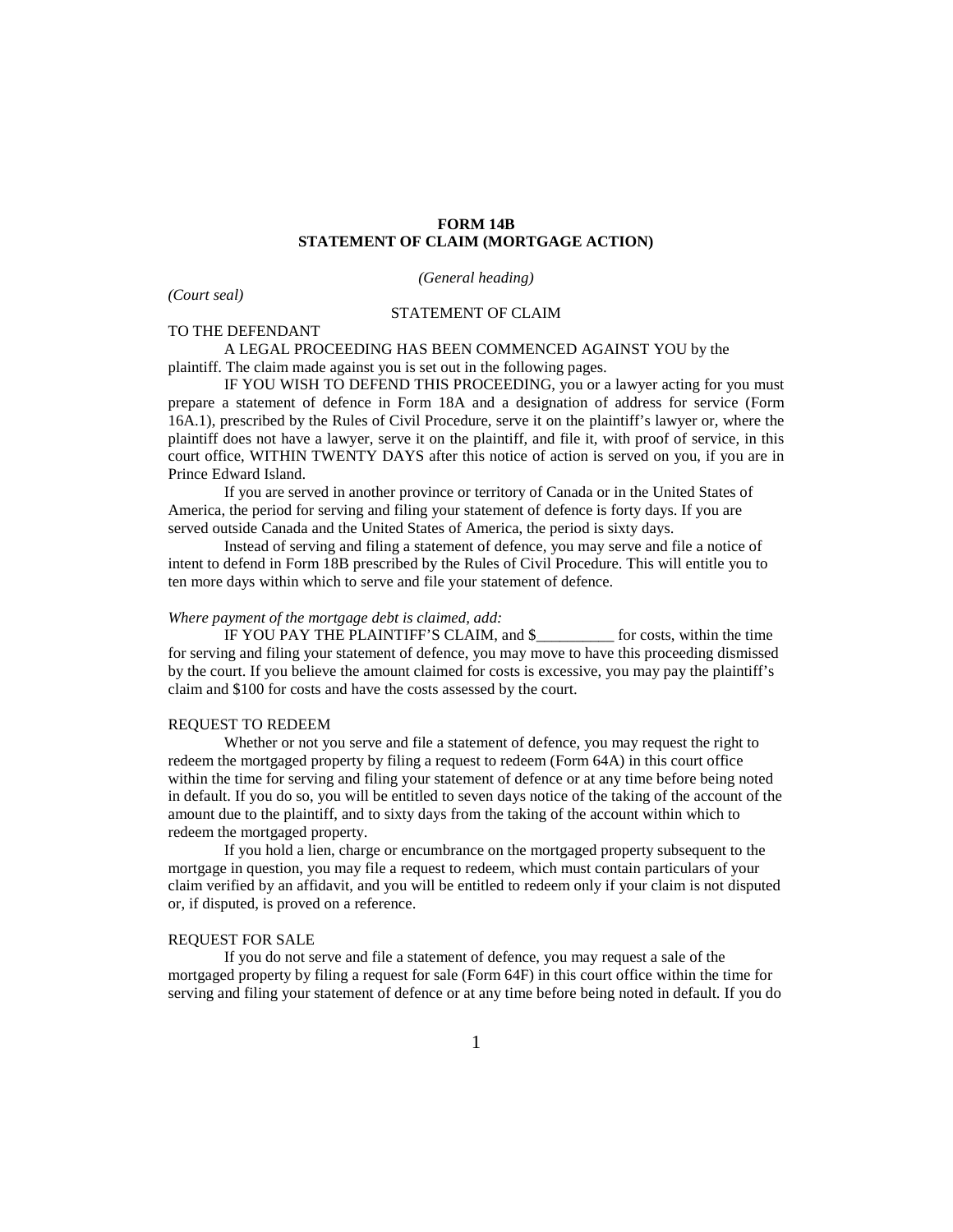# **FORM 14B STATEMENT OF CLAIM (MORTGAGE ACTION)**

*(General heading)*

*(Court seal)*

## STATEMENT OF CLAIM

TO THE DEFENDANT

A LEGAL PROCEEDING HAS BEEN COMMENCED AGAINST YOU by the plaintiff. The claim made against you is set out in the following pages.

IF YOU WISH TO DEFEND THIS PROCEEDING, you or a lawyer acting for you must prepare a statement of defence in Form 18A and a designation of address for service (Form 16A.1), prescribed by the Rules of Civil Procedure, serve it on the plaintiff's lawyer or, where the plaintiff does not have a lawyer, serve it on the plaintiff, and file it, with proof of service, in this court office, WITHIN TWENTY DAYS after this notice of action is served on you, if you are in Prince Edward Island.

If you are served in another province or territory of Canada or in the United States of America, the period for serving and filing your statement of defence is forty days. If you are served outside Canada and the United States of America, the period is sixty days.

Instead of serving and filing a statement of defence, you may serve and file a notice of intent to defend in Form 18B prescribed by the Rules of Civil Procedure. This will entitle you to ten more days within which to serve and file your statement of defence.

# *Where payment of the mortgage debt is claimed, add:*

IF YOU PAY THE PLAINTIFF'S CLAIM, and \$\_\_\_\_\_\_\_\_\_\_ for costs, within the time for serving and filing your statement of defence, you may move to have this proceeding dismissed by the court. If you believe the amount claimed for costs is excessive, you may pay the plaintiff's claim and \$100 for costs and have the costs assessed by the court.

## REQUEST TO REDEEM

Whether or not you serve and file a statement of defence, you may request the right to redeem the mortgaged property by filing a request to redeem (Form 64A) in this court office within the time for serving and filing your statement of defence or at any time before being noted in default. If you do so, you will be entitled to seven days notice of the taking of the account of the amount due to the plaintiff, and to sixty days from the taking of the account within which to redeem the mortgaged property.

If you hold a lien, charge or encumbrance on the mortgaged property subsequent to the mortgage in question, you may file a request to redeem, which must contain particulars of your claim verified by an affidavit, and you will be entitled to redeem only if your claim is not disputed or, if disputed, is proved on a reference.

#### REQUEST FOR SALE

If you do not serve and file a statement of defence, you may request a sale of the mortgaged property by filing a request for sale (Form 64F) in this court office within the time for serving and filing your statement of defence or at any time before being noted in default. If you do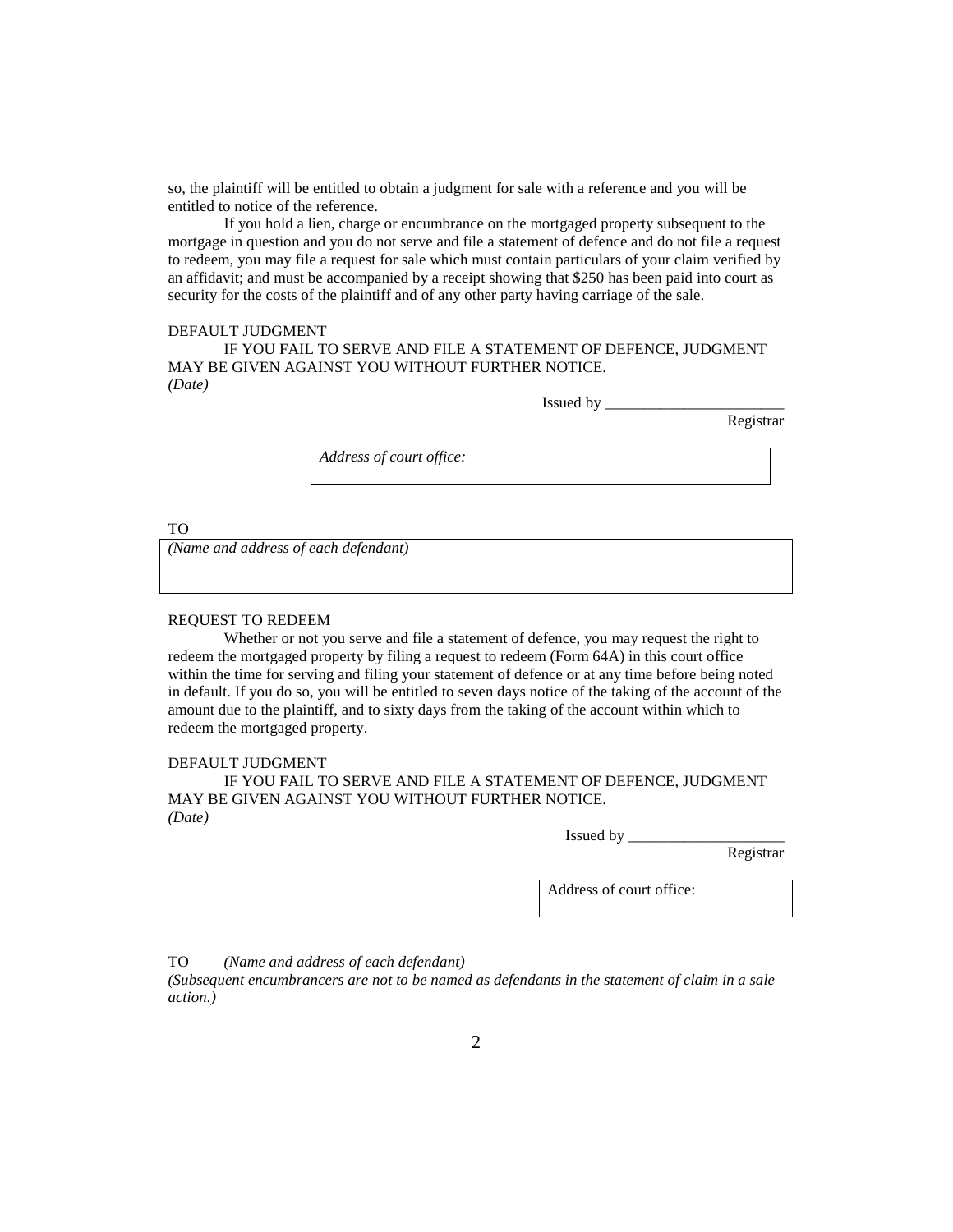so, the plaintiff will be entitled to obtain a judgment for sale with a reference and you will be entitled to notice of the reference.

If you hold a lien, charge or encumbrance on the mortgaged property subsequent to the mortgage in question and you do not serve and file a statement of defence and do not file a request to redeem, you may file a request for sale which must contain particulars of your claim verified by an affidavit; and must be accompanied by a receipt showing that \$250 has been paid into court as security for the costs of the plaintiff and of any other party having carriage of the sale.

## DEFAULT JUDGMENT

IF YOU FAIL TO SERVE AND FILE A STATEMENT OF DEFENCE, JUDGMENT MAY BE GIVEN AGAINST YOU WITHOUT FURTHER NOTICE. *(Date)*

Issued by \_\_\_\_\_\_\_\_\_\_\_\_\_\_\_\_\_\_\_\_\_\_\_

Registrar

*Address of court office:*

TO

*(Name and address of each defendant)*

#### REQUEST TO REDEEM

Whether or not you serve and file a statement of defence, you may request the right to redeem the mortgaged property by filing a request to redeem (Form 64A) in this court office within the time for serving and filing your statement of defence or at any time before being noted in default. If you do so, you will be entitled to seven days notice of the taking of the account of the amount due to the plaintiff, and to sixty days from the taking of the account within which to redeem the mortgaged property.

#### DEFAULT JUDGMENT

IF YOU FAIL TO SERVE AND FILE A STATEMENT OF DEFENCE, JUDGMENT MAY BE GIVEN AGAINST YOU WITHOUT FURTHER NOTICE. *(Date)*

Issued by

Registrar

Address of court office:

TO *(Name and address of each defendant)*

*(Subsequent encumbrancers are not to be named as defendants in the statement of claim in a sale action.)*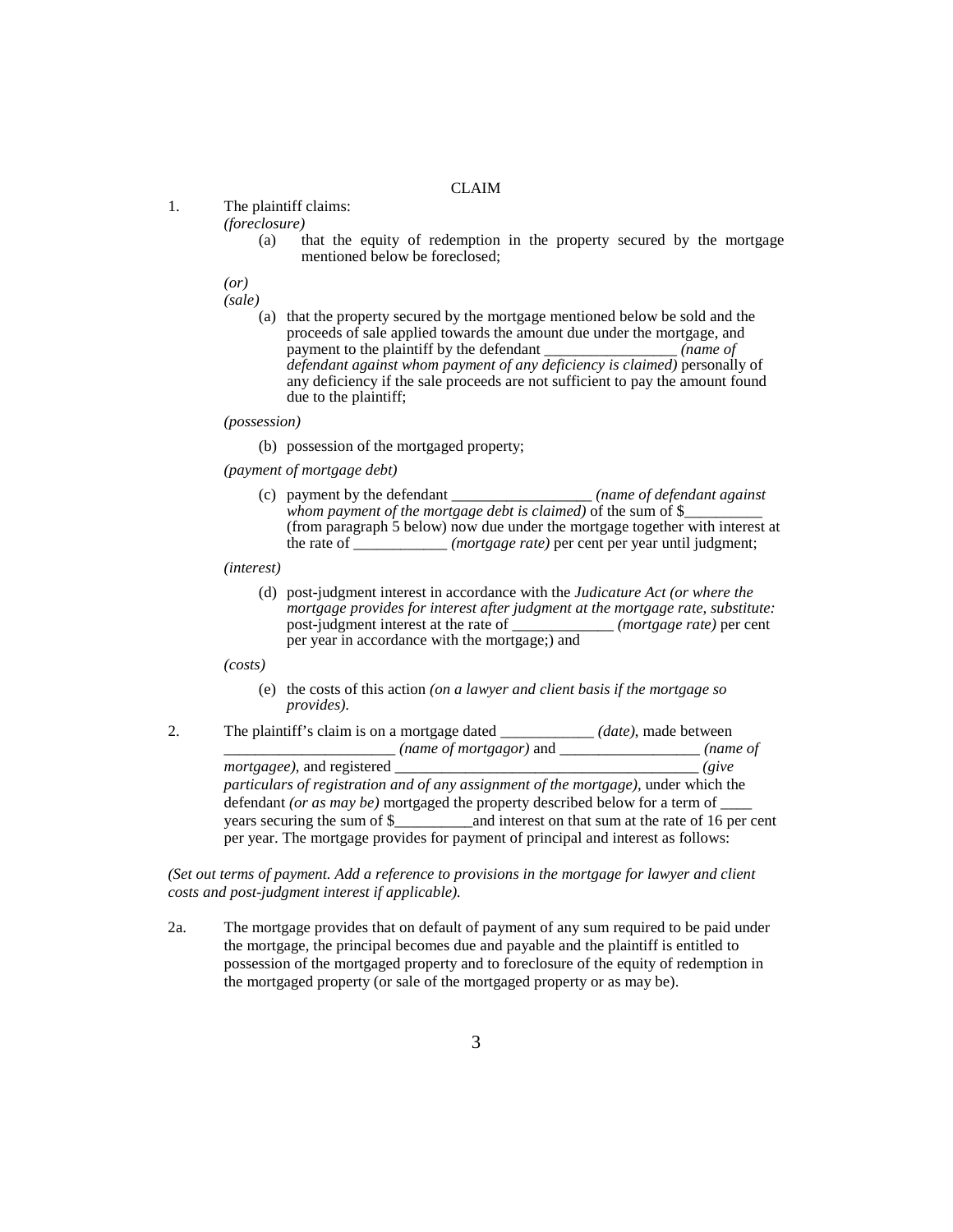# CLAIM

1. The plaintiff claims:

*(foreclosure)*

(a) that the equity of redemption in the property secured by the mortgage mentioned below be foreclosed;

*(or)*

*(sale)*

(a) that the property secured by the mortgage mentioned below be sold and the proceeds of sale applied towards the amount due under the mortgage, and payment to the plaintiff by the defendant (name of payment to the plaintiff by the defendant *defendant against whom payment of any deficiency is claimed)* personally of any deficiency if the sale proceeds are not sufficient to pay the amount found due to the plaintiff;

*(possession)*

- (b) possession of the mortgaged property;
- *(payment of mortgage debt)*
	- (c) payment by the defendant \_\_\_\_\_\_\_\_\_\_\_\_\_\_\_\_\_\_ *(name of defendant against*  whom payment of the mortgage debt is claimed) of the sum of \$\_ (from paragraph 5 below) now due under the mortgage together with interest at the rate of \_\_\_\_\_\_\_\_\_\_\_\_ *(mortgage rate)* per cent per year until judgment;

*(interest)*

(d) post-judgment interest in accordance with the *Judicature Act (or where the mortgage provides for interest after judgment at the mortgage rate, substitute:*  post-judgment interest at the rate of \_\_\_\_\_\_\_\_\_\_\_\_\_ *(mortgage rate)* per cent per year in accordance with the mortgage;) and

*(costs)*

- (e) the costs of this action *(on a lawyer and client basis if the mortgage so provides)*.
- 2. The plaintiff's claim is on a mortgage dated \_\_\_\_\_\_\_\_\_\_\_\_ *(date)*, made between \_\_\_\_\_\_\_\_\_\_\_\_\_\_\_\_\_\_\_\_\_\_ *(name of mortgagor)* and \_\_\_\_\_\_\_\_\_\_\_\_\_\_\_\_\_\_ *(name of mortgagee)*, and registered \_\_\_\_\_\_\_\_\_\_\_\_\_\_\_\_\_\_\_\_\_\_\_\_\_\_\_\_\_\_\_\_\_\_\_\_\_\_\_ *(give particulars of registration and of any assignment of the mortgage),* under which the defendant *(or as may be)* mortgaged the property described below for a term of \_\_\_\_ years securing the sum of \$\_\_\_\_\_\_\_\_\_\_and interest on that sum at the rate of 16 per cent per year. The mortgage provides for payment of principal and interest as follows:

*(Set out terms of payment. Add a reference to provisions in the mortgage for lawyer and client costs and post-judgment interest if applicable).*

2a. The mortgage provides that on default of payment of any sum required to be paid under the mortgage, the principal becomes due and payable and the plaintiff is entitled to possession of the mortgaged property and to foreclosure of the equity of redemption in the mortgaged property (or sale of the mortgaged property or as may be).